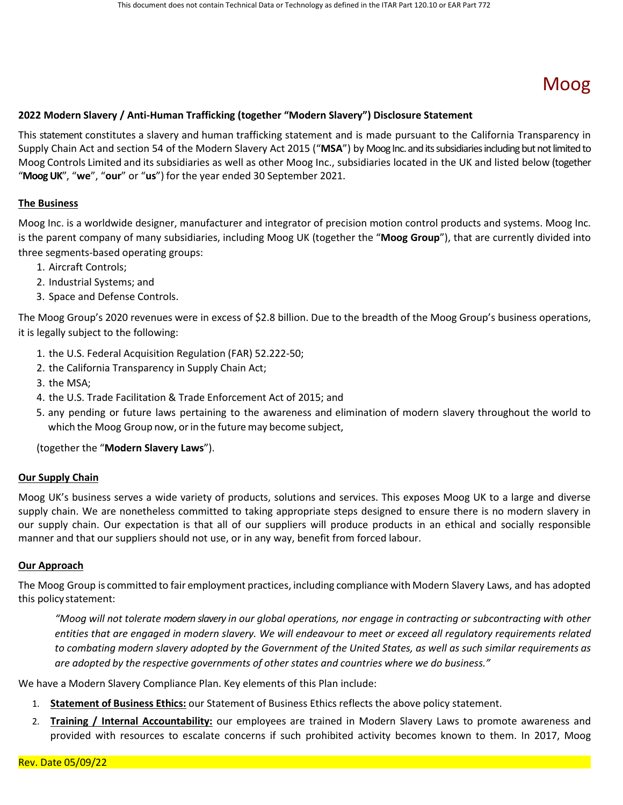# Moog

#### **2022 Modern Slavery / Anti-Human Trafficking (together "Modern Slavery") Disclosure Statement**

This statement constitutes a slavery and human trafficking statement and is made pursuant to the California Transparency in Supply Chain Act and section 54 of the Modern Slavery Act 2015 ("**MSA**") by Moog Inc. and its subsidiaries including but not limited to Moog Controls Limited and its subsidiaries as well as other Moog Inc., subsidiaries located in the UK and listed below (together "**Moog UK**", "**we**", "**our**" or "**us**") for the year ended 30 September 2021.

### **The Business**

Moog Inc. is a worldwide designer, manufacturer and integrator of precision motion control products and systems. Moog Inc. is the parent company of many subsidiaries, including Moog UK (together the "**Moog Group**"), that are currently divided into three segments-based operating groups:

- 1. Aircraft Controls;
- 2. Industrial Systems; and
- 3. Space and Defense Controls.

The Moog Group's 2020 revenues were in excess of \$2.8 billion. Due to the breadth of the Moog Group's business operations, it is legally subject to the following:

- 1. the U.S. Federal Acquisition Regulation (FAR) 52.222-50;
- 2. the California Transparency in Supply Chain Act;
- 3. the MSA;
- 4. the U.S. Trade Facilitation & Trade Enforcement Act of 2015; and
- 5. any pending or future laws pertaining to the awareness and elimination of modern slavery throughout the world to which the Moog Group now, or in the future may become subject,

(together the "**Modern Slavery Laws**").

## **Our Supply Chain**

Moog UK's business serves a wide variety of products, solutions and services. This exposes Moog UK to a large and diverse supply chain. We are nonetheless committed to taking appropriate steps designed to ensure there is no modern slavery in our supply chain. Our expectation is that all of our suppliers will produce products in an ethical and socially responsible manner and that our suppliers should not use, or in any way, benefit from forced labour.

#### **Our Approach**

The Moog Group is committed to fair employment practices, including compliance with Modern Slavery Laws, and has adopted this policy statement:

"Moog will not tolerate modern slavery in our global operations, nor engage in contracting or subcontracting with other *entities that are engaged in modern slavery. We will endeavour to meet or exceed all regulatory requirements related to combating modern slavery adopted by the Government of the United States, as well as such similar requirements as are adopted by the respective governments of other states and countries where we do business."*

We have a Modern Slavery Compliance Plan. Key elements of this Plan include:

- 1. **Statement of Business Ethics:** our Statement of Business Ethics reflects the above policy statement.
- 2. **Training / Internal Accountability:** our employees are trained in Modern Slavery Laws to promote awareness and provided with resources to escalate concerns if such prohibited activity becomes known to them. In 2017, Moog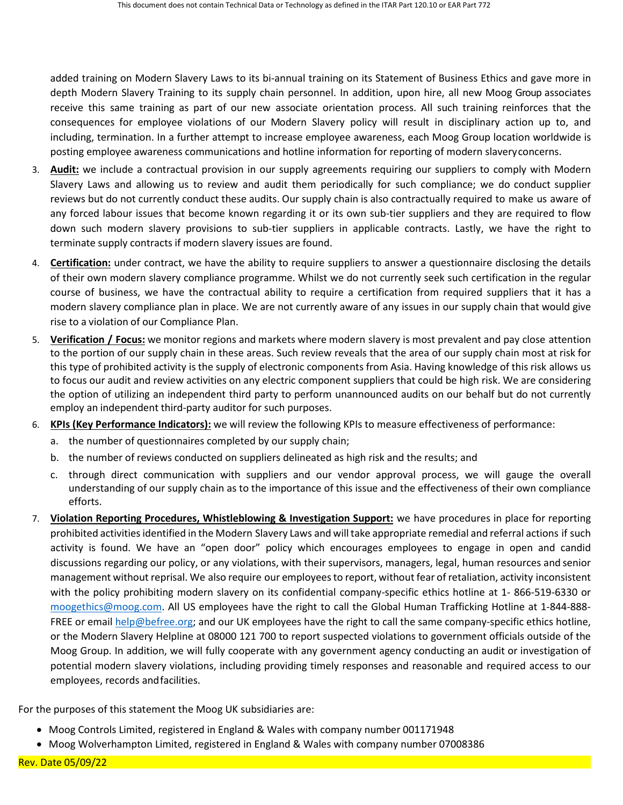added training on Modern Slavery Laws to its bi-annual training on its Statement of Business Ethics and gave more in depth Modern Slavery Training to its supply chain personnel. In addition, upon hire, all new Moog Group associates receive this same training as part of our new associate orientation process. All such training reinforces that the consequences for employee violations of our Modern Slavery policy will result in disciplinary action up to, and including, termination. In a further attempt to increase employee awareness, each Moog Group location worldwide is posting employee awareness communications and hotline information for reporting of modern slaveryconcerns.

- 3. **Audit:** we include a contractual provision in our supply agreements requiring our suppliers to comply with Modern Slavery Laws and allowing us to review and audit them periodically for such compliance; we do conduct supplier reviews but do not currently conduct these audits. Our supply chain is also contractually required to make us aware of any forced labour issues that become known regarding it or its own sub-tier suppliers and they are required to flow down such modern slavery provisions to sub-tier suppliers in applicable contracts. Lastly, we have the right to terminate supply contracts if modern slavery issues are found.
- 4. **Certification:** under contract, we have the ability to require suppliers to answer a questionnaire disclosing the details of their own modern slavery compliance programme. Whilst we do not currently seek such certification in the regular course of business, we have the contractual ability to require a certification from required suppliers that it has a modern slavery compliance plan in place. We are not currently aware of any issues in our supply chain that would give rise to a violation of our Compliance Plan.
- 5. **Verification / Focus:** we monitor regions and markets where modern slavery is most prevalent and pay close attention to the portion of our supply chain in these areas. Such review reveals that the area of our supply chain most at risk for this type of prohibited activity is the supply of electronic components from Asia. Having knowledge of this risk allows us to focus our audit and review activities on any electric component suppliers that could be high risk. We are considering the option of utilizing an independent third party to perform unannounced audits on our behalf but do not currently employ an independent third-party auditor for such purposes.
- 6. **KPIs (Key Performance Indicators):** we will review the following KPIs to measure effectiveness of performance:
	- a. the number of questionnaires completed by our supply chain;
	- b. the number of reviews conducted on suppliers delineated as high risk and the results; and
	- c. through direct communication with suppliers and our vendor approval process, we will gauge the overall understanding of our supply chain as to the importance of this issue and the effectiveness of their own compliance efforts.
- 7. **Violation Reporting Procedures, Whistleblowing & Investigation Support:** we have procedures in place for reporting prohibited activities identified in the Modern Slavery Laws and will take appropriate remedial and referral actions if such activity is found. We have an "open door" policy which encourages employees to engage in open and candid discussions regarding our policy, or any violations, with their supervisors, managers, legal, human resources and senior management without reprisal. We also require our employeesto report, without fear of retaliation, activity inconsistent with the policy prohibiting modern slavery on its confidential company-specific ethics hotline at 1- 866-519-6330 or [moogethics@moog.com.](mailto:moogethics@moog.com) All US employees have the right to call the Global Human Trafficking Hotline at 1-844-888- FREE or email help@befree.org; and our UK employees have the right to call the same company-specific ethics hotline, or the Modern Slavery Helpline at 08000 121 700 to report suspected violations to government officials outside of the Moog Group. In addition, we will fully cooperate with any government agency conducting an audit or investigation of potential modern slavery violations, including providing timely responses and reasonable and required access to our employees, records andfacilities.

For the purposes of this statement the Moog UK subsidiaries are:

- Moog Controls Limited, registered in England & Wales with company number 001171948
- Moog Wolverhampton Limited, registered in England & Wales with company number 07008386